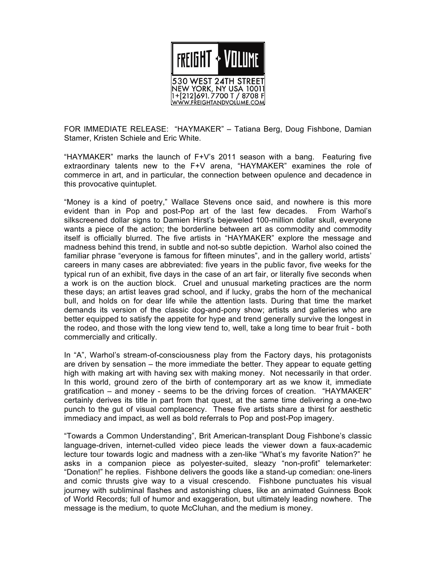

FOR IMMEDIATE RELEASE: "HAYMAKER" – Tatiana Berg, Doug Fishbone, Damian Stamer, Kristen Schiele and Eric White.

"HAYMAKER" marks the launch of F+V's 2011 season with a bang. Featuring five extraordinary talents new to the F+V arena, "HAYMAKER" examines the role of commerce in art, and in particular, the connection between opulence and decadence in this provocative quintuplet.

"Money is a kind of poetry," Wallace Stevens once said, and nowhere is this more evident than in Pop and post-Pop art of the last few decades. From Warhol's silkscreened dollar signs to Damien Hirst's bejeweled 100-million dollar skull, everyone wants a piece of the action; the borderline between art as commodity and commodity itself is officially blurred. The five artists in "HAYMAKER" explore the message and madness behind this trend, in subtle and not-so subtle depiction. Warhol also coined the familiar phrase "everyone is famous for fifteen minutes", and in the gallery world, artists' careers in many cases are abbreviated: five years in the public favor, five weeks for the typical run of an exhibit, five days in the case of an art fair, or literally five seconds when a work is on the auction block. Cruel and unusual marketing practices are the norm these days; an artist leaves grad school, and if lucky, grabs the horn of the mechanical bull, and holds on for dear life while the attention lasts. During that time the market demands its version of the classic dog-and-pony show; artists and galleries who are better equipped to satisfy the appetite for hype and trend generally survive the longest in the rodeo, and those with the long view tend to, well, take a long time to bear fruit - both commercially and critically.

In "A", Warhol's stream-of-consciousness play from the Factory days, his protagonists are driven by sensation – the more immediate the better. They appear to equate getting high with making art with having sex with making money. Not necessarily in that order. In this world, ground zero of the birth of contemporary art as we know it, immediate gratification – and money - seems to be the driving forces of creation. "HAYMAKER" certainly derives its title in part from that quest, at the same time delivering a one-two punch to the gut of visual complacency. These five artists share a thirst for aesthetic immediacy and impact, as well as bold referrals to Pop and post-Pop imagery.

"Towards a Common Understanding", Brit American-transplant Doug Fishbone's classic language-driven, internet-culled video piece leads the viewer down a faux-academic lecture tour towards logic and madness with a zen-like "What's my favorite Nation?" he asks in a companion piece as polyester-suited, sleazy "non-profit" telemarketer: "Donation!" he replies. Fishbone delivers the goods like a stand-up comedian: one-liners and comic thrusts give way to a visual crescendo. Fishbone punctuates his visual journey with subliminal flashes and astonishing clues, like an animated Guinness Book of World Records; full of humor and exaggeration, but ultimately leading nowhere. The message is the medium, to quote McCluhan, and the medium is money.